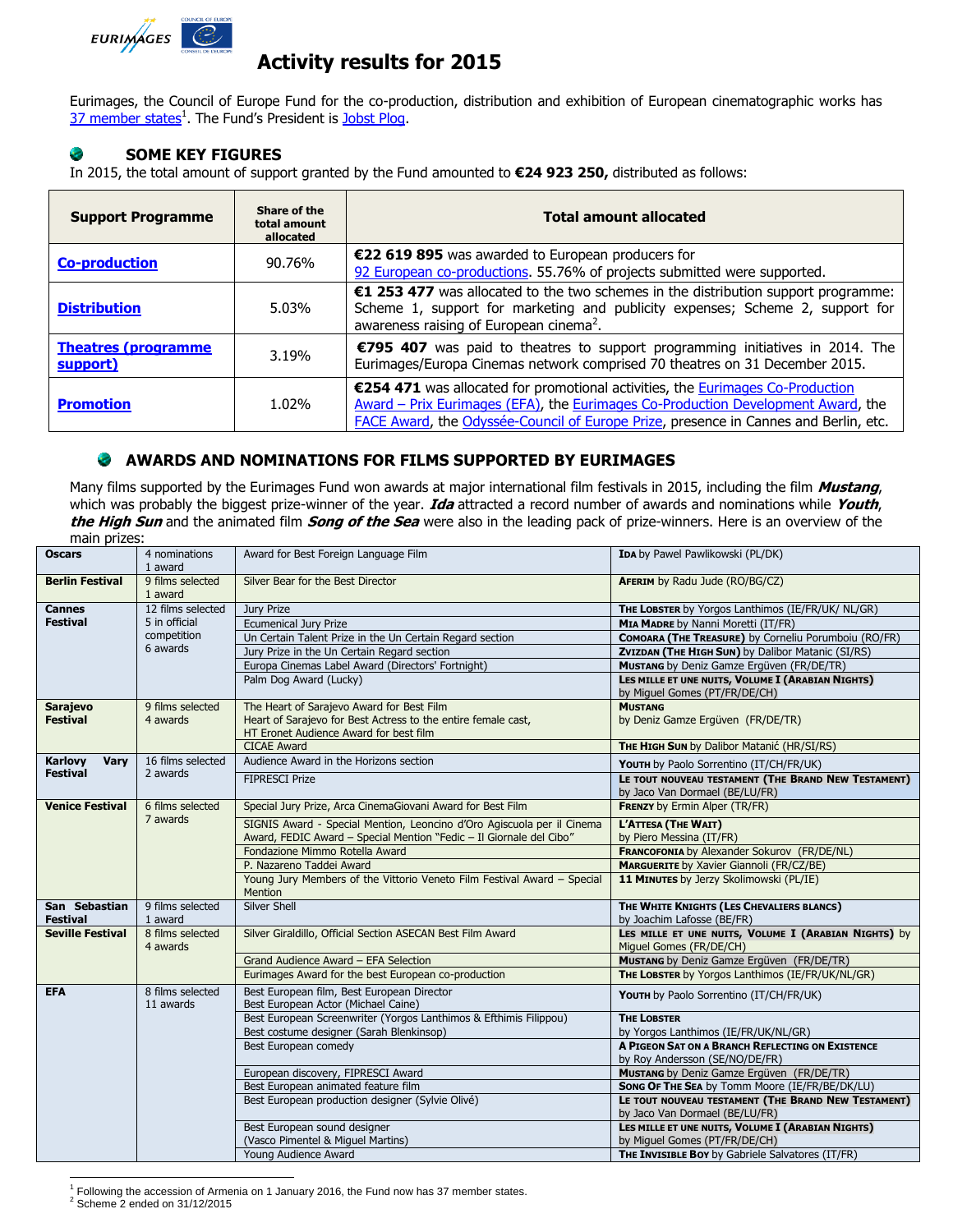

# **Activity results for 2015**

Eurimages, the Council of Europe Fund for the co-production, distribution and exhibition of European cinematographic works has [37 member states](http://www.coe.int/t/dg4/eurimages/about/memberstates_EN.asp?)<sup>1</sup>. The Fund's President is [Jobst Plog.](http://www.coe.int/t/dg4/eurimages/about/president_EN.asp?)

### **SOME KEY FIGURES** e

In 2015, the total amount of support granted by the Fund amounted to **€24 923 250,** distributed as follows:

| <b>Support Programme</b>                | Share of the<br>total amount<br>allocated | <b>Total amount allocated</b>                                                                                                                                                                                                                              |  |
|-----------------------------------------|-------------------------------------------|------------------------------------------------------------------------------------------------------------------------------------------------------------------------------------------------------------------------------------------------------------|--|
| <b>Co-production</b>                    | 90.76%                                    | €22 619 895 was awarded to European producers for<br>92 European co-productions. 55.76% of projects submitted were supported.                                                                                                                              |  |
| <b>Distribution</b>                     | 5.03%                                     | €1 253 477 was allocated to the two schemes in the distribution support programme:<br>Scheme 1, support for marketing and publicity expenses; Scheme 2, support for<br>awareness raising of European cinema <sup>2</sup> .                                 |  |
| <b>Theatres (programme)</b><br>support) | 3.19%                                     | €795 407 was paid to theatres to support programming initiatives in 2014. The<br>Eurimages/Europa Cinemas network comprised 70 theatres on 31 December 2015.                                                                                               |  |
| <b>Promotion</b>                        | 1.02%                                     | €254 471 was allocated for promotional activities, the Eurimages Co-Production<br>Award – Prix Eurimages (EFA), the Eurimages Co-Production Development Award, the<br>FACE Award, the Odyssée-Council of Europe Prize, presence in Cannes and Berlin, etc. |  |

### **AWARDS AND NOMINATIONS FOR FILMS SUPPORTED BY EURIMAGES**

Many films supported by the Eurimages Fund won awards at major international film festivals in 2015, including the film **Mustang**, which was probably the biggest prize-winner of the year. **Ida** attracted a record number of awards and nominations while **Youth**, **the High Sun** and the animated film **Song of the Sea** were also in the leading pack of prize-winners. Here is an overview of the

| <b>Oscars</b><br>Award for Best Foreign Language Film<br>IDA by Pawel Pawlikowski (PL/DK)<br>4 nominations<br>1 award<br>9 films selected<br>Silver Bear for the Best Director<br><b>AFERIM</b> by Radu Jude (RO/BG/CZ)<br><b>Berlin Festival</b><br>1 award<br>12 films selected<br>Jury Prize<br><b>Cannes</b><br>THE LOBSTER by Yorgos Lanthimos (IE/FR/UK/ NL/GR)<br><b>Festival</b><br>5 in official<br><b>Ecumenical Jury Prize</b><br>MIA MADRE by Nanni Moretti (IT/FR)<br>competition<br>COMOARA (THE TREASURE) by Corneliu Porumboiu (RO/FR)<br>Un Certain Talent Prize in the Un Certain Regard section<br>6 awards<br>Jury Prize in the Un Certain Regard section<br>ZVIZDAN (THE HIGH SUN) by Dalibor Matanic (SI/RS)<br>Europa Cinemas Label Award (Directors' Fortnight)<br><b>MUSTANG</b> by Deniz Gamze Ergüven (FR/DE/TR)<br>Palm Dog Award (Lucky)<br>LES MILLE ET UNE NUITS, VOLUME I (ARABIAN NIGHTS)<br>by Miguel Gomes (PT/FR/DE/CH)<br>The Heart of Sarajevo Award for Best Film<br><b>MUSTANG</b><br>9 films selected<br><b>Sarajevo</b><br>Heart of Sarajevo for Best Actress to the entire female cast,<br><b>Festival</b><br>4 awards<br>by Deniz Gamze Ergüven (FR/DE/TR)<br>HT Eronet Audience Award for best film<br><b>CICAE Award</b><br>THE HIGH SUN by Dalibor Matanić (HR/SI/RS)<br>Audience Award in the Horizons section<br>16 films selected<br>Karlovy<br>Vary<br>YOUTH by Paolo Sorrentino (IT/CH/FR/UK)<br><b>Festival</b><br>2 awards<br><b>FIPRESCI Prize</b><br>LE TOUT NOUVEAU TESTAMENT (THE BRAND NEW TESTAMENT)<br>by Jaco Van Dormael (BE/LU/FR)<br><b>FRENZY</b> by Ermin Alper (TR/FR)<br>6 films selected<br>Special Jury Prize, Arca CinemaGiovani Award for Best Film<br>Venice Festival<br>7 awards<br>SIGNIS Award - Special Mention, Leoncino d'Oro Agiscuola per il Cinema<br>L'ATTESA (THE WAIT)<br>Award, FEDIC Award - Special Mention "Fedic - Il Giornale del Cibo"<br>by Piero Messina (IT/FR)<br>Fondazione Mimmo Rotella Award<br>FRANCOFONIA by Alexander Sokurov (FR/DE/NL)<br>P. Nazareno Taddei Award<br><b>MARGUERITE by Xavier Giannoli (FR/CZ/BE)</b><br>Young Jury Members of the Vittorio Veneto Film Festival Award - Special<br>11 MINUTES by Jerzy Skolimowski (PL/IE)<br><b>Mention</b><br>9 films selected<br>Silver Shell<br>THE WHITE KNIGHTS (LES CHEVALIERS BLANCS)<br>San Sebastian<br>by Joachim Lafosse (BE/FR)<br><b>Festival</b><br>1 award<br>LES MILLE ET UNE NUITS, VOLUME I (ARABIAN NIGHTS) by<br>8 films selected<br>Silver Giraldillo, Official Section ASECAN Best Film Award<br><b>Seville Festival</b><br>Miquel Gomes (FR/DE/CH)<br>4 awards<br><b>MUSTANG</b> by Deniz Gamze Ergüven (FR/DE/TR)<br>Grand Audience Award - EFA Selection<br>THE LOBSTER by Yorgos Lanthimos (IE/FR/UK/NL/GR)<br>Eurimages Award for the best European co-production<br>Best European film, Best European Director<br><b>EFA</b><br>8 films selected<br>YOUTH by Paolo Sorrentino (IT/CH/FR/UK)<br>Best European Actor (Michael Caine)<br>11 awards<br>Best European Screenwriter (Yorgos Lanthimos & Efthimis Filippou)<br><b>THE LOBSTER</b><br>Best costume designer (Sarah Blenkinsop)<br>by Yorgos Lanthimos (IE/FR/UK/NL/GR)<br>Best European comedy<br>A PIGEON SAT ON A BRANCH REFLECTING ON EXISTENCE<br>by Roy Andersson (SE/NO/DE/FR)<br>European discovery, FIPRESCI Award<br><b>MUSTANG</b> by Deniz Gamze Ergüven (FR/DE/TR)<br>Best European animated feature film<br>Song OF THE SEA by Tomm Moore (IE/FR/BE/DK/LU)<br>Best European production designer (Sylvie Olivé)<br>LE TOUT NOUVEAU TESTAMENT (THE BRAND NEW TESTAMENT)<br>by Jaco Van Dormael (BE/LU/FR)<br>LES MILLE ET UNE NUITS, VOLUME I (ARABIAN NIGHTS)<br>Best European sound designer<br>(Vasco Pimentel & Miguel Martins)<br>by Miguel Gomes (PT/FR/DE/CH)<br>THE INVISIBLE BOY by Gabriele Salvatores (IT/FR)<br>Young Audience Award |  | main prizes: |  |  |  |  |  |  |
|-------------------------------------------------------------------------------------------------------------------------------------------------------------------------------------------------------------------------------------------------------------------------------------------------------------------------------------------------------------------------------------------------------------------------------------------------------------------------------------------------------------------------------------------------------------------------------------------------------------------------------------------------------------------------------------------------------------------------------------------------------------------------------------------------------------------------------------------------------------------------------------------------------------------------------------------------------------------------------------------------------------------------------------------------------------------------------------------------------------------------------------------------------------------------------------------------------------------------------------------------------------------------------------------------------------------------------------------------------------------------------------------------------------------------------------------------------------------------------------------------------------------------------------------------------------------------------------------------------------------------------------------------------------------------------------------------------------------------------------------------------------------------------------------------------------------------------------------------------------------------------------------------------------------------------------------------------------------------------------------------------------------------------------------------------------------------------------------------------------------------------------------------------------------------------------------------------------------------------------------------------------------------------------------------------------------------------------------------------------------------------------------------------------------------------------------------------------------------------------------------------------------------------------------------------------------------------------------------------------------------------------------------------------------------------------------------------------------------------------------------------------------------------------------------------------------------------------------------------------------------------------------------------------------------------------------------------------------------------------------------------------------------------------------------------------------------------------------------------------------------------------------------------------------------------------------------------------------------------------------------------------------------------------------------------------------------------------------------------------------------------------------------------------------------------------------------------------------------------------------------------------------------------------------------------------------------------------------------------------------------------------------------------------------------------------------------------------------------------------------------------------------------------------------------------------------------------------------------------------------------------------------------------------|--|--------------|--|--|--|--|--|--|
|                                                                                                                                                                                                                                                                                                                                                                                                                                                                                                                                                                                                                                                                                                                                                                                                                                                                                                                                                                                                                                                                                                                                                                                                                                                                                                                                                                                                                                                                                                                                                                                                                                                                                                                                                                                                                                                                                                                                                                                                                                                                                                                                                                                                                                                                                                                                                                                                                                                                                                                                                                                                                                                                                                                                                                                                                                                                                                                                                                                                                                                                                                                                                                                                                                                                                                                                                                                                                                                                                                                                                                                                                                                                                                                                                                                                                                                                                                             |  |              |  |  |  |  |  |  |
|                                                                                                                                                                                                                                                                                                                                                                                                                                                                                                                                                                                                                                                                                                                                                                                                                                                                                                                                                                                                                                                                                                                                                                                                                                                                                                                                                                                                                                                                                                                                                                                                                                                                                                                                                                                                                                                                                                                                                                                                                                                                                                                                                                                                                                                                                                                                                                                                                                                                                                                                                                                                                                                                                                                                                                                                                                                                                                                                                                                                                                                                                                                                                                                                                                                                                                                                                                                                                                                                                                                                                                                                                                                                                                                                                                                                                                                                                                             |  |              |  |  |  |  |  |  |
|                                                                                                                                                                                                                                                                                                                                                                                                                                                                                                                                                                                                                                                                                                                                                                                                                                                                                                                                                                                                                                                                                                                                                                                                                                                                                                                                                                                                                                                                                                                                                                                                                                                                                                                                                                                                                                                                                                                                                                                                                                                                                                                                                                                                                                                                                                                                                                                                                                                                                                                                                                                                                                                                                                                                                                                                                                                                                                                                                                                                                                                                                                                                                                                                                                                                                                                                                                                                                                                                                                                                                                                                                                                                                                                                                                                                                                                                                                             |  |              |  |  |  |  |  |  |
|                                                                                                                                                                                                                                                                                                                                                                                                                                                                                                                                                                                                                                                                                                                                                                                                                                                                                                                                                                                                                                                                                                                                                                                                                                                                                                                                                                                                                                                                                                                                                                                                                                                                                                                                                                                                                                                                                                                                                                                                                                                                                                                                                                                                                                                                                                                                                                                                                                                                                                                                                                                                                                                                                                                                                                                                                                                                                                                                                                                                                                                                                                                                                                                                                                                                                                                                                                                                                                                                                                                                                                                                                                                                                                                                                                                                                                                                                                             |  |              |  |  |  |  |  |  |
|                                                                                                                                                                                                                                                                                                                                                                                                                                                                                                                                                                                                                                                                                                                                                                                                                                                                                                                                                                                                                                                                                                                                                                                                                                                                                                                                                                                                                                                                                                                                                                                                                                                                                                                                                                                                                                                                                                                                                                                                                                                                                                                                                                                                                                                                                                                                                                                                                                                                                                                                                                                                                                                                                                                                                                                                                                                                                                                                                                                                                                                                                                                                                                                                                                                                                                                                                                                                                                                                                                                                                                                                                                                                                                                                                                                                                                                                                                             |  |              |  |  |  |  |  |  |
|                                                                                                                                                                                                                                                                                                                                                                                                                                                                                                                                                                                                                                                                                                                                                                                                                                                                                                                                                                                                                                                                                                                                                                                                                                                                                                                                                                                                                                                                                                                                                                                                                                                                                                                                                                                                                                                                                                                                                                                                                                                                                                                                                                                                                                                                                                                                                                                                                                                                                                                                                                                                                                                                                                                                                                                                                                                                                                                                                                                                                                                                                                                                                                                                                                                                                                                                                                                                                                                                                                                                                                                                                                                                                                                                                                                                                                                                                                             |  |              |  |  |  |  |  |  |
|                                                                                                                                                                                                                                                                                                                                                                                                                                                                                                                                                                                                                                                                                                                                                                                                                                                                                                                                                                                                                                                                                                                                                                                                                                                                                                                                                                                                                                                                                                                                                                                                                                                                                                                                                                                                                                                                                                                                                                                                                                                                                                                                                                                                                                                                                                                                                                                                                                                                                                                                                                                                                                                                                                                                                                                                                                                                                                                                                                                                                                                                                                                                                                                                                                                                                                                                                                                                                                                                                                                                                                                                                                                                                                                                                                                                                                                                                                             |  |              |  |  |  |  |  |  |
|                                                                                                                                                                                                                                                                                                                                                                                                                                                                                                                                                                                                                                                                                                                                                                                                                                                                                                                                                                                                                                                                                                                                                                                                                                                                                                                                                                                                                                                                                                                                                                                                                                                                                                                                                                                                                                                                                                                                                                                                                                                                                                                                                                                                                                                                                                                                                                                                                                                                                                                                                                                                                                                                                                                                                                                                                                                                                                                                                                                                                                                                                                                                                                                                                                                                                                                                                                                                                                                                                                                                                                                                                                                                                                                                                                                                                                                                                                             |  |              |  |  |  |  |  |  |
|                                                                                                                                                                                                                                                                                                                                                                                                                                                                                                                                                                                                                                                                                                                                                                                                                                                                                                                                                                                                                                                                                                                                                                                                                                                                                                                                                                                                                                                                                                                                                                                                                                                                                                                                                                                                                                                                                                                                                                                                                                                                                                                                                                                                                                                                                                                                                                                                                                                                                                                                                                                                                                                                                                                                                                                                                                                                                                                                                                                                                                                                                                                                                                                                                                                                                                                                                                                                                                                                                                                                                                                                                                                                                                                                                                                                                                                                                                             |  |              |  |  |  |  |  |  |
|                                                                                                                                                                                                                                                                                                                                                                                                                                                                                                                                                                                                                                                                                                                                                                                                                                                                                                                                                                                                                                                                                                                                                                                                                                                                                                                                                                                                                                                                                                                                                                                                                                                                                                                                                                                                                                                                                                                                                                                                                                                                                                                                                                                                                                                                                                                                                                                                                                                                                                                                                                                                                                                                                                                                                                                                                                                                                                                                                                                                                                                                                                                                                                                                                                                                                                                                                                                                                                                                                                                                                                                                                                                                                                                                                                                                                                                                                                             |  |              |  |  |  |  |  |  |
|                                                                                                                                                                                                                                                                                                                                                                                                                                                                                                                                                                                                                                                                                                                                                                                                                                                                                                                                                                                                                                                                                                                                                                                                                                                                                                                                                                                                                                                                                                                                                                                                                                                                                                                                                                                                                                                                                                                                                                                                                                                                                                                                                                                                                                                                                                                                                                                                                                                                                                                                                                                                                                                                                                                                                                                                                                                                                                                                                                                                                                                                                                                                                                                                                                                                                                                                                                                                                                                                                                                                                                                                                                                                                                                                                                                                                                                                                                             |  |              |  |  |  |  |  |  |
|                                                                                                                                                                                                                                                                                                                                                                                                                                                                                                                                                                                                                                                                                                                                                                                                                                                                                                                                                                                                                                                                                                                                                                                                                                                                                                                                                                                                                                                                                                                                                                                                                                                                                                                                                                                                                                                                                                                                                                                                                                                                                                                                                                                                                                                                                                                                                                                                                                                                                                                                                                                                                                                                                                                                                                                                                                                                                                                                                                                                                                                                                                                                                                                                                                                                                                                                                                                                                                                                                                                                                                                                                                                                                                                                                                                                                                                                                                             |  |              |  |  |  |  |  |  |
|                                                                                                                                                                                                                                                                                                                                                                                                                                                                                                                                                                                                                                                                                                                                                                                                                                                                                                                                                                                                                                                                                                                                                                                                                                                                                                                                                                                                                                                                                                                                                                                                                                                                                                                                                                                                                                                                                                                                                                                                                                                                                                                                                                                                                                                                                                                                                                                                                                                                                                                                                                                                                                                                                                                                                                                                                                                                                                                                                                                                                                                                                                                                                                                                                                                                                                                                                                                                                                                                                                                                                                                                                                                                                                                                                                                                                                                                                                             |  |              |  |  |  |  |  |  |
|                                                                                                                                                                                                                                                                                                                                                                                                                                                                                                                                                                                                                                                                                                                                                                                                                                                                                                                                                                                                                                                                                                                                                                                                                                                                                                                                                                                                                                                                                                                                                                                                                                                                                                                                                                                                                                                                                                                                                                                                                                                                                                                                                                                                                                                                                                                                                                                                                                                                                                                                                                                                                                                                                                                                                                                                                                                                                                                                                                                                                                                                                                                                                                                                                                                                                                                                                                                                                                                                                                                                                                                                                                                                                                                                                                                                                                                                                                             |  |              |  |  |  |  |  |  |
|                                                                                                                                                                                                                                                                                                                                                                                                                                                                                                                                                                                                                                                                                                                                                                                                                                                                                                                                                                                                                                                                                                                                                                                                                                                                                                                                                                                                                                                                                                                                                                                                                                                                                                                                                                                                                                                                                                                                                                                                                                                                                                                                                                                                                                                                                                                                                                                                                                                                                                                                                                                                                                                                                                                                                                                                                                                                                                                                                                                                                                                                                                                                                                                                                                                                                                                                                                                                                                                                                                                                                                                                                                                                                                                                                                                                                                                                                                             |  |              |  |  |  |  |  |  |
|                                                                                                                                                                                                                                                                                                                                                                                                                                                                                                                                                                                                                                                                                                                                                                                                                                                                                                                                                                                                                                                                                                                                                                                                                                                                                                                                                                                                                                                                                                                                                                                                                                                                                                                                                                                                                                                                                                                                                                                                                                                                                                                                                                                                                                                                                                                                                                                                                                                                                                                                                                                                                                                                                                                                                                                                                                                                                                                                                                                                                                                                                                                                                                                                                                                                                                                                                                                                                                                                                                                                                                                                                                                                                                                                                                                                                                                                                                             |  |              |  |  |  |  |  |  |
|                                                                                                                                                                                                                                                                                                                                                                                                                                                                                                                                                                                                                                                                                                                                                                                                                                                                                                                                                                                                                                                                                                                                                                                                                                                                                                                                                                                                                                                                                                                                                                                                                                                                                                                                                                                                                                                                                                                                                                                                                                                                                                                                                                                                                                                                                                                                                                                                                                                                                                                                                                                                                                                                                                                                                                                                                                                                                                                                                                                                                                                                                                                                                                                                                                                                                                                                                                                                                                                                                                                                                                                                                                                                                                                                                                                                                                                                                                             |  |              |  |  |  |  |  |  |
|                                                                                                                                                                                                                                                                                                                                                                                                                                                                                                                                                                                                                                                                                                                                                                                                                                                                                                                                                                                                                                                                                                                                                                                                                                                                                                                                                                                                                                                                                                                                                                                                                                                                                                                                                                                                                                                                                                                                                                                                                                                                                                                                                                                                                                                                                                                                                                                                                                                                                                                                                                                                                                                                                                                                                                                                                                                                                                                                                                                                                                                                                                                                                                                                                                                                                                                                                                                                                                                                                                                                                                                                                                                                                                                                                                                                                                                                                                             |  |              |  |  |  |  |  |  |
|                                                                                                                                                                                                                                                                                                                                                                                                                                                                                                                                                                                                                                                                                                                                                                                                                                                                                                                                                                                                                                                                                                                                                                                                                                                                                                                                                                                                                                                                                                                                                                                                                                                                                                                                                                                                                                                                                                                                                                                                                                                                                                                                                                                                                                                                                                                                                                                                                                                                                                                                                                                                                                                                                                                                                                                                                                                                                                                                                                                                                                                                                                                                                                                                                                                                                                                                                                                                                                                                                                                                                                                                                                                                                                                                                                                                                                                                                                             |  |              |  |  |  |  |  |  |
|                                                                                                                                                                                                                                                                                                                                                                                                                                                                                                                                                                                                                                                                                                                                                                                                                                                                                                                                                                                                                                                                                                                                                                                                                                                                                                                                                                                                                                                                                                                                                                                                                                                                                                                                                                                                                                                                                                                                                                                                                                                                                                                                                                                                                                                                                                                                                                                                                                                                                                                                                                                                                                                                                                                                                                                                                                                                                                                                                                                                                                                                                                                                                                                                                                                                                                                                                                                                                                                                                                                                                                                                                                                                                                                                                                                                                                                                                                             |  |              |  |  |  |  |  |  |
|                                                                                                                                                                                                                                                                                                                                                                                                                                                                                                                                                                                                                                                                                                                                                                                                                                                                                                                                                                                                                                                                                                                                                                                                                                                                                                                                                                                                                                                                                                                                                                                                                                                                                                                                                                                                                                                                                                                                                                                                                                                                                                                                                                                                                                                                                                                                                                                                                                                                                                                                                                                                                                                                                                                                                                                                                                                                                                                                                                                                                                                                                                                                                                                                                                                                                                                                                                                                                                                                                                                                                                                                                                                                                                                                                                                                                                                                                                             |  |              |  |  |  |  |  |  |
|                                                                                                                                                                                                                                                                                                                                                                                                                                                                                                                                                                                                                                                                                                                                                                                                                                                                                                                                                                                                                                                                                                                                                                                                                                                                                                                                                                                                                                                                                                                                                                                                                                                                                                                                                                                                                                                                                                                                                                                                                                                                                                                                                                                                                                                                                                                                                                                                                                                                                                                                                                                                                                                                                                                                                                                                                                                                                                                                                                                                                                                                                                                                                                                                                                                                                                                                                                                                                                                                                                                                                                                                                                                                                                                                                                                                                                                                                                             |  |              |  |  |  |  |  |  |
|                                                                                                                                                                                                                                                                                                                                                                                                                                                                                                                                                                                                                                                                                                                                                                                                                                                                                                                                                                                                                                                                                                                                                                                                                                                                                                                                                                                                                                                                                                                                                                                                                                                                                                                                                                                                                                                                                                                                                                                                                                                                                                                                                                                                                                                                                                                                                                                                                                                                                                                                                                                                                                                                                                                                                                                                                                                                                                                                                                                                                                                                                                                                                                                                                                                                                                                                                                                                                                                                                                                                                                                                                                                                                                                                                                                                                                                                                                             |  |              |  |  |  |  |  |  |
|                                                                                                                                                                                                                                                                                                                                                                                                                                                                                                                                                                                                                                                                                                                                                                                                                                                                                                                                                                                                                                                                                                                                                                                                                                                                                                                                                                                                                                                                                                                                                                                                                                                                                                                                                                                                                                                                                                                                                                                                                                                                                                                                                                                                                                                                                                                                                                                                                                                                                                                                                                                                                                                                                                                                                                                                                                                                                                                                                                                                                                                                                                                                                                                                                                                                                                                                                                                                                                                                                                                                                                                                                                                                                                                                                                                                                                                                                                             |  |              |  |  |  |  |  |  |
|                                                                                                                                                                                                                                                                                                                                                                                                                                                                                                                                                                                                                                                                                                                                                                                                                                                                                                                                                                                                                                                                                                                                                                                                                                                                                                                                                                                                                                                                                                                                                                                                                                                                                                                                                                                                                                                                                                                                                                                                                                                                                                                                                                                                                                                                                                                                                                                                                                                                                                                                                                                                                                                                                                                                                                                                                                                                                                                                                                                                                                                                                                                                                                                                                                                                                                                                                                                                                                                                                                                                                                                                                                                                                                                                                                                                                                                                                                             |  |              |  |  |  |  |  |  |
|                                                                                                                                                                                                                                                                                                                                                                                                                                                                                                                                                                                                                                                                                                                                                                                                                                                                                                                                                                                                                                                                                                                                                                                                                                                                                                                                                                                                                                                                                                                                                                                                                                                                                                                                                                                                                                                                                                                                                                                                                                                                                                                                                                                                                                                                                                                                                                                                                                                                                                                                                                                                                                                                                                                                                                                                                                                                                                                                                                                                                                                                                                                                                                                                                                                                                                                                                                                                                                                                                                                                                                                                                                                                                                                                                                                                                                                                                                             |  |              |  |  |  |  |  |  |
|                                                                                                                                                                                                                                                                                                                                                                                                                                                                                                                                                                                                                                                                                                                                                                                                                                                                                                                                                                                                                                                                                                                                                                                                                                                                                                                                                                                                                                                                                                                                                                                                                                                                                                                                                                                                                                                                                                                                                                                                                                                                                                                                                                                                                                                                                                                                                                                                                                                                                                                                                                                                                                                                                                                                                                                                                                                                                                                                                                                                                                                                                                                                                                                                                                                                                                                                                                                                                                                                                                                                                                                                                                                                                                                                                                                                                                                                                                             |  |              |  |  |  |  |  |  |
|                                                                                                                                                                                                                                                                                                                                                                                                                                                                                                                                                                                                                                                                                                                                                                                                                                                                                                                                                                                                                                                                                                                                                                                                                                                                                                                                                                                                                                                                                                                                                                                                                                                                                                                                                                                                                                                                                                                                                                                                                                                                                                                                                                                                                                                                                                                                                                                                                                                                                                                                                                                                                                                                                                                                                                                                                                                                                                                                                                                                                                                                                                                                                                                                                                                                                                                                                                                                                                                                                                                                                                                                                                                                                                                                                                                                                                                                                                             |  |              |  |  |  |  |  |  |
|                                                                                                                                                                                                                                                                                                                                                                                                                                                                                                                                                                                                                                                                                                                                                                                                                                                                                                                                                                                                                                                                                                                                                                                                                                                                                                                                                                                                                                                                                                                                                                                                                                                                                                                                                                                                                                                                                                                                                                                                                                                                                                                                                                                                                                                                                                                                                                                                                                                                                                                                                                                                                                                                                                                                                                                                                                                                                                                                                                                                                                                                                                                                                                                                                                                                                                                                                                                                                                                                                                                                                                                                                                                                                                                                                                                                                                                                                                             |  |              |  |  |  |  |  |  |
|                                                                                                                                                                                                                                                                                                                                                                                                                                                                                                                                                                                                                                                                                                                                                                                                                                                                                                                                                                                                                                                                                                                                                                                                                                                                                                                                                                                                                                                                                                                                                                                                                                                                                                                                                                                                                                                                                                                                                                                                                                                                                                                                                                                                                                                                                                                                                                                                                                                                                                                                                                                                                                                                                                                                                                                                                                                                                                                                                                                                                                                                                                                                                                                                                                                                                                                                                                                                                                                                                                                                                                                                                                                                                                                                                                                                                                                                                                             |  |              |  |  |  |  |  |  |
|                                                                                                                                                                                                                                                                                                                                                                                                                                                                                                                                                                                                                                                                                                                                                                                                                                                                                                                                                                                                                                                                                                                                                                                                                                                                                                                                                                                                                                                                                                                                                                                                                                                                                                                                                                                                                                                                                                                                                                                                                                                                                                                                                                                                                                                                                                                                                                                                                                                                                                                                                                                                                                                                                                                                                                                                                                                                                                                                                                                                                                                                                                                                                                                                                                                                                                                                                                                                                                                                                                                                                                                                                                                                                                                                                                                                                                                                                                             |  |              |  |  |  |  |  |  |
|                                                                                                                                                                                                                                                                                                                                                                                                                                                                                                                                                                                                                                                                                                                                                                                                                                                                                                                                                                                                                                                                                                                                                                                                                                                                                                                                                                                                                                                                                                                                                                                                                                                                                                                                                                                                                                                                                                                                                                                                                                                                                                                                                                                                                                                                                                                                                                                                                                                                                                                                                                                                                                                                                                                                                                                                                                                                                                                                                                                                                                                                                                                                                                                                                                                                                                                                                                                                                                                                                                                                                                                                                                                                                                                                                                                                                                                                                                             |  |              |  |  |  |  |  |  |

  $1$  Following the accession of Armenia on 1 January 2016, the Fund now has 37 member states.

 $2$  Scheme 2 ended on 31/12/2015